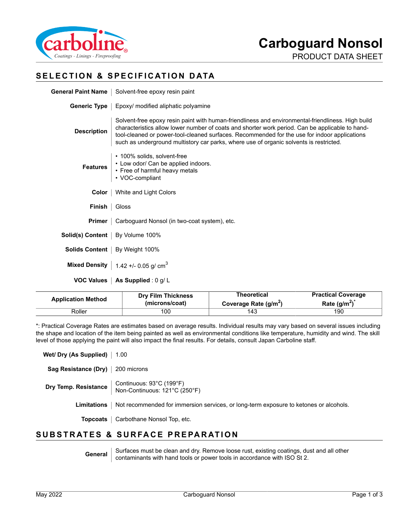

PRODUCT DATA SHEET

## **SELECTION & SPECIFICATION DATA**

|                                   | General Paint Name   Solvent-free epoxy resin paint                                                                                                                                                                                                                                                                                                                                            |  |
|-----------------------------------|------------------------------------------------------------------------------------------------------------------------------------------------------------------------------------------------------------------------------------------------------------------------------------------------------------------------------------------------------------------------------------------------|--|
|                                   | <b>Generic Type</b>   Epoxy/ modified aliphatic polyamine                                                                                                                                                                                                                                                                                                                                      |  |
| <b>Description</b>                | Solvent-free epoxy resin paint with human-friendliness and environmental-friendliness. High build<br>characteristics allow lower number of coats and shorter work period. Can be applicable to hand-<br>tool-cleaned or power-tool-cleaned surfaces. Recommended for the use for indoor applications<br>such as underground multistory car parks, where use of organic solvents is restricted. |  |
|                                   | • 100% solids, solvent-free<br>Features<br>• Low odor/ Can be applied indoors.<br>• Free of harmful heavy metals<br>• VOC-compliant                                                                                                                                                                                                                                                            |  |
|                                   | <b>Color</b>   White and Light Colors                                                                                                                                                                                                                                                                                                                                                          |  |
| <b>Finish</b> $\vert$ Gloss       |                                                                                                                                                                                                                                                                                                                                                                                                |  |
|                                   | <b>Primer</b>   Carboguard Nonsol (in two-coat system), etc.                                                                                                                                                                                                                                                                                                                                   |  |
| Solid(s) Content   By Volume 100% |                                                                                                                                                                                                                                                                                                                                                                                                |  |
|                                   | <b>Solids Content</b>   By Weight 100%                                                                                                                                                                                                                                                                                                                                                         |  |
|                                   | Mixed Density   $1.42 + 0.05$ g/ cm <sup>3</sup>                                                                                                                                                                                                                                                                                                                                               |  |
|                                   | <b>VOC Values   As Supplied: 0 g/L</b>                                                                                                                                                                                                                                                                                                                                                         |  |

| <b>Application Method</b> | <b>Drv Film Thickness</b> | Theoretical                       | <b>Practical Coverage</b> |
|---------------------------|---------------------------|-----------------------------------|---------------------------|
|                           | (microns/coat)            | Coverage Rate (g/m <sup>2</sup> ) | Rate $(q/m^2)$            |
| Roller                    | 100                       | 143                               | 190                       |

\*: Practical Coverage Rates are estimates based on average results. Individual results may vary based on several issues including the shape and location of the item being painted as well as environmental conditions like temperature, humidity and wind. The skill level of those applying the paint will also impact the final results. For details, consult Japan Carboline staff.

**Wet/ Dry (As Supplied)** | 1.00

**Sag Resistance (Dry)** 200 microns

**Dry Temp. Resistance** Continuous: 93°C (199°F) Non-Continuous: 121°C (250°F)

Limitations | Not recommended for immersion services, or long-term exposure to ketones or alcohols.

**Topcoats** | Carbothane Nonsol Top, etc.

## **SUBSTRATES & SURFACE PREPARATION**

General Surfaces must be clean and dry. Remove loose rust, existing coatings, dust and all other contaminants with hand tools or power tools in accordance with ISO St 2.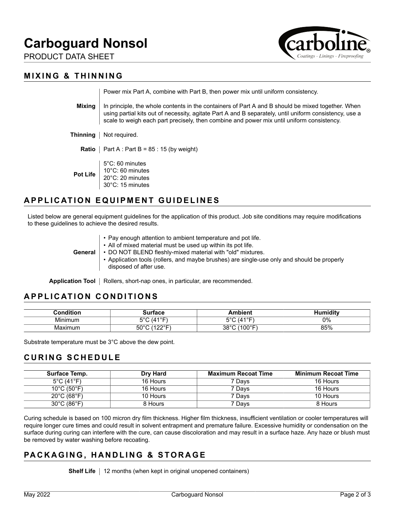# **Carboguard Nonsol**

PRODUCT DATA SHEET



#### **MIXING & THINNING**

|                                         | Power mix Part A, combine with Part B, then power mix until uniform consistency.                                                                                                                                                                                                                         |  |
|-----------------------------------------|----------------------------------------------------------------------------------------------------------------------------------------------------------------------------------------------------------------------------------------------------------------------------------------------------------|--|
| Mixina                                  | In principle, the whole contents in the containers of Part A and B should be mixed together. When<br>using partial kits out of necessity, agitate Part A and B separately, until uniform consistency, use a<br>scale to weigh each part precisely, then combine and power mix until uniform consistency. |  |
| Thinning                                | Not required.                                                                                                                                                                                                                                                                                            |  |
| Ratio                                   | Part A : Part B = $85:15$ (by weight)                                                                                                                                                                                                                                                                    |  |
| Pot Life                                | $5^{\circ}$ C: 60 minutes<br>$10^{\circ}$ C: 60 minutes<br>$\vert$ 20°C: 20 minutes<br>30°C: 15 minutes                                                                                                                                                                                                  |  |
| <b>APPLICATION EQUIPMENT GUIDELINES</b> |                                                                                                                                                                                                                                                                                                          |  |

Listed below are general equipment guidelines for the application of this product. Job site conditions may require modifications to these guidelines to achieve the desired results.

| General | • Pay enough attention to ambient temperature and pot life.<br>• All of mixed material must be used up within its pot life.<br>• DO NOT BLEND fleshly-mixed material with "old" mixtures.<br>• Application tools (rollers, and maybe brushes) are single-use only and should be properly<br>disposed of after use. |
|---------|--------------------------------------------------------------------------------------------------------------------------------------------------------------------------------------------------------------------------------------------------------------------------------------------------------------------|
|---------|--------------------------------------------------------------------------------------------------------------------------------------------------------------------------------------------------------------------------------------------------------------------------------------------------------------------|

Application Tool | Rollers, short-nap ones, in particular, are recommended.

### **APPLICATION CONDITIONS**

| ondition       | <br>10 L.C                                | $ -$<br>___             | ditv |
|----------------|-------------------------------------------|-------------------------|------|
| . .<br>Minimum | (110 <sup>°</sup><br>-00                  | 1.0 <sub>F</sub><br>ہ ص | 0%   |
| Maximum        | $50^{\circ}$ C<br>1000 <sub>0</sub><br>-- | $\,$ (100°F).<br>38°C   | 85%  |

Substrate temperature must be 3°C above the dew point.

#### **CURING SCHEDULE**

| <b>Surface Temp.</b>             | Dry Hard | <b>Maximum Recoat Time</b> | <b>Minimum Recoat Time</b> |
|----------------------------------|----------|----------------------------|----------------------------|
| 5°C (41°F)                       | 16 Hours | 7 Days                     | 16 Hours                   |
| $10^{\circ}$ C (50 $^{\circ}$ F) | 16 Hours | 7 Days                     | 16 Hours                   |
| $20^{\circ}$ C (68 $^{\circ}$ F) | 10 Hours | 7 Days                     | 10 Hours                   |
| $30^{\circ}$ C (86 $^{\circ}$ F) | 8 Hours  | 7 Davs                     | 8 Hours                    |

Curing schedule is based on 100 micron dry film thickness. Higher film thickness, insufficient ventilation or cooler temperatures will require longer cure times and could result in solvent entrapment and premature failure. Excessive humidity or condensation on the surface during curing can interfere with the cure, can cause discoloration and may result in a surface haze. Any haze or blush must be removed by water washing before recoating.

## **PACKAGING, HANDLING & STORAGE**

**Shelf Life** | 12 months (when kept in original unopened containers)